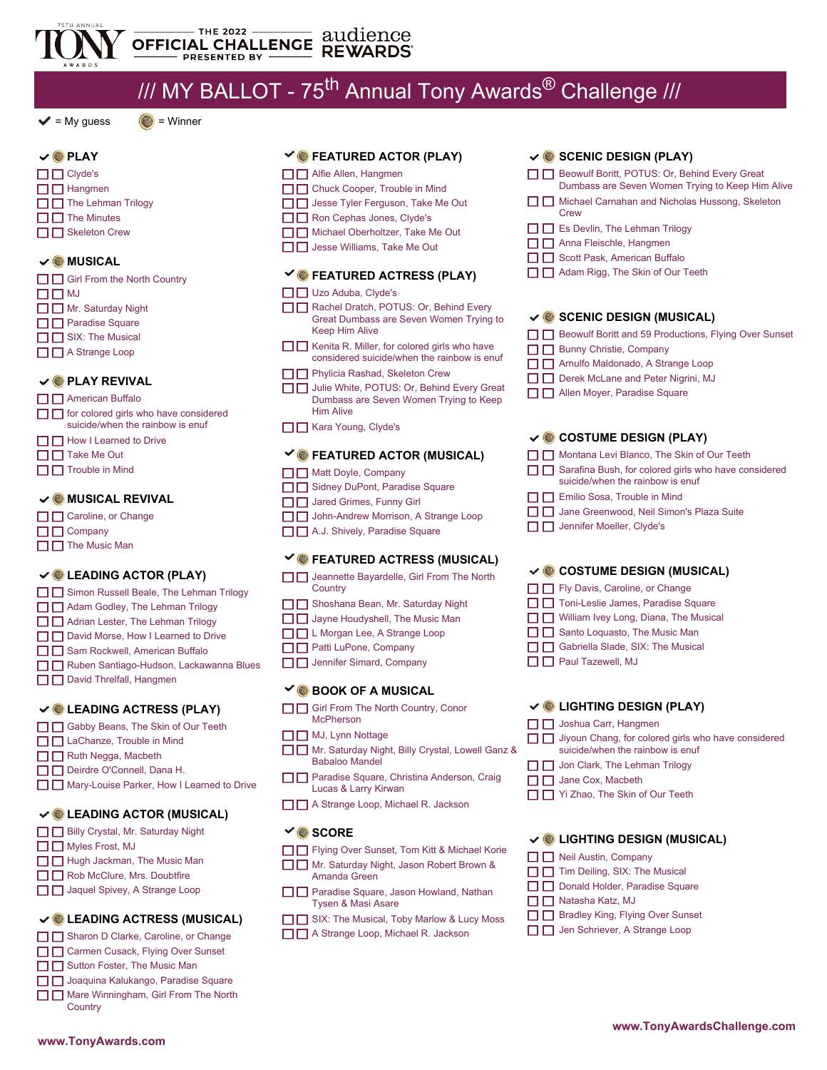

# $1/1/1$  MY BALLOT - 75<sup>th</sup> Annual Tony Awards<sup>®</sup> Challenge  $1/1/1$

**FEATURED ACTOR (PLAY)**

**FEATURED ACTRESS (PLAY)**

Rachel Dratch, POTUS: Or, Behind Every Great Dumbass are Seven Women Trying to

 $\Box$  Kenita R. Miller, for colored girls who have considered suicide/when the rainbow is enuf

Julie White, POTUS: Or, Behind Every Great Dumbass are Seven Women Trying to Keep

**FEATURED ACTOR (MUSICAL)**

□□ John-Andrew Morrison, A Strange Loop □ B A.J. Shively, Paradise Square

**FEATURED ACTRESS (MUSICAL)**

□□ Sidney DuPont, Paradise Square **I** Jared Grimes, Funny Girl

**D Phylicia Rashad, Skeleton Crew** 

□ B Alfie Allen, Hangmen □ □ Chuck Cooper, Trouble in Mind  $\Box$  Jesse Tyler Ferguson, Take Me Out □□ Ron Cephas Jones, Clyde's □ □ Michael Oberholtzer, Take Me Out □□ Jesse Williams, Take Me Out

□ Uzo Aduba, Clyde's

Keep Him Alive

Him Alive □ Kara Young, Clyde's

□ □ Matt Doyle, Company

# $\blacktriangleright$  = My guess  $\binom{3}{2}$  = Winner



### **MUSICAL**

| $\Box$ Girl From the North Country |
|------------------------------------|
| □□Ⅲ                                |
| $\Box$ Mr. Saturday Night          |
| $\Box$ Paradise Square             |
| $\Box$ SIX: The Musical            |
| $\Box$ A Strange Loop              |
|                                    |
|                                    |

#### **PLAY REVIVAL**

- □ American Buffalo
- $\Box$   $\Box$  for colored girls who have considered suicide/when the rainbow is enuf
- 
- 
- 

- **Caroline**, or Change
- $\square \square$  Company
- $\Box$  The Music Man

# **LEADING ACTOR (PLAY)**

- □ Simon Russell Beale, The Lehman Trilogy
- □ Adam Godley, The Lehman Trilogy
- 
- 
- 
- 
- **D** David Threlfall, Hangmen

# **LEADING ACTRESS (PLAY)**

- Gabby Beans, The Skin of Our Teeth
- □ **□** LaChanze, Trouble in Mind
- □ Buth Negga, Macbeth
- D Deirdre O'Connell, Dana H.
- Mary-Louise Parker, How I Learned to Drive

### **LEADING ACTOR (MUSICAL)**

- Billy Crystal, Mr. Saturday Night
- $\square \square$  Myles Frost, MJ
- □□ Hugh Jackman, The Music Man
- □ Bob McClure, Mrs. Doubtfire
- □□ Jaquel Spivey, A Strange Loop

# **LEADING ACTRESS (MUSICAL)**

- Sharon D Clarke, Caroline, or Change
- □ Carmen Cusack, Flying Over Sunset
- □ Sutton Foster, The Music Man □□ Joaquina Kalukango, Paradise Square

**www.TonyAwards.com**

Mare Winningham, Girl From The North **Country** 

- 
- □□ How I Learned to Drive
- □□ Take Me Out
- $\Box$  $\Box$  Trouble in Mind

# **MUSICAL REVIVAL**

- 
- 

- **I** Jeannette Bayardelle, Girl From The North **Country**
- □ Shoshana Bean, Mr. Saturday Night
- □ □ Adrian Lester, The Lehman Trilogy
- D David Morse, How I Learned to Drive
- 
- □ Sam Rockwell, American Buffalo
- □ Ruben Santiago-Hudson, Lackawanna Blues
- 

# **BOOK OF A MUSICAL**

Girl From The North Country, Conor **McPherson** 

 $\square \square$  Jayne Houdyshell, The Music Man □□L Morgan Lee, A Strange Loop **Patti LuPone, Company J** Jennifer Simard, Company

- MJ, Lynn Nottage
- Mr. Saturday Night, Billy Crystal, Lowell Ganz & Babaloo Mandel
- **Paradise Square, Christina Anderson, Craig** Lucas & Larry Kirwan
- □□ A Strange Loop, Michael R. Jackson

# **V** SCORE

- Fig. The Flying Over Sunset, Tom Kitt & Michael Korie
- Mr. Saturday Night, Jason Robert Brown & Amanda Green
- **Paradise Square, Jason Howland, Nathan** Tysen & Masi Asare
- SIX: The Musical, Toby Marlow & Lucy Moss
- □ □ A Strange Loop, Michael R. Jackson

# **SCENIC DESIGN (PLAY)**

- Beowulf Boritt, POTUS: Or, Behind Every Great
- Dumbass are Seven Women Trying to Keep Him Alive Michael Carnahan and Nicholas Hussong, Skeleton
- **Crew**
- $\Box$  Es Devlin, The Lehman Trilogy
- □ B Anna Fleischle, Hangmen
- □ Scott Pask, American Buffalo
- □ □ Adam Rigg, The Skin of Our Teeth

# **SCENIC DESIGN (MUSICAL)**

- Beowulf Boritt and 59 Productions, Flying Over Sunset
- **Bunny Christie, Company**
- Arnulfo Maldonado, A Strange Loop
- Derek McLane and Peter Nigrini, MJ
- **T H** Allen Moyer, Paradise Square

### **COSTUME DESIGN (PLAY)**

- Montana Levi Blanco, The Skin of Our Teeth
- Sarafina Bush, for colored girls who have considered suicide/when the rainbow is enuf
- $\Box$   $\Box$  Emilio Sosa, Trouble in Mind
- □ D Jane Greenwood, Neil Simon's Plaza Suite
- **D Jennifer Moeller, Clyde's**

### **COSTUME DESIGN (MUSICAL)**

- Fly Davis, Caroline, or Change
- □ □ Toni-Leslie James, Paradise Square
- $\Box$  William Ivey Long, Diana, The Musical
- $\Box$   $\Box$  Santo Loquasto, The Music Man
- Gabriella Slade, SIX: The Musical
- **Paul Tazewell, MJ**

### **LIGHTING DESIGN (PLAY)**

□ □ Yi Zhao, The Skin of Our Teeth

suicide/when the rainbow is enuf  $\Box$  Jon Clark, The Lehman Trilogy

**LIGHTING DESIGN (MUSICAL)**

Bradley King, Flying Over Sunset **Julie** Jen Schriever, A Strange Loop

 $\Box$  Jiyoun Chang, for colored girls who have considered

**www.TonyAwardsChallenge.com**

 $\Box$  Joshua Carr, Hangmen

 $\Box$  Jane Cox, Macbeth

Neil Austin, Company  $\Box$   $\Box$  Tim Deiling, SIX: The Musical **D D** Donald Holder, Paradise Square

 $\square$  Natasha Katz, MJ